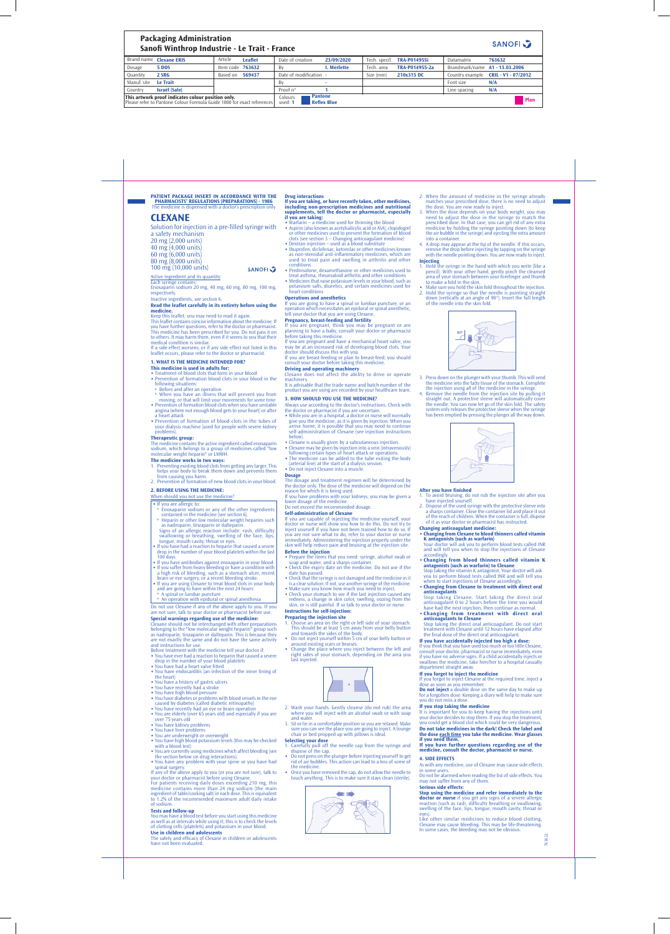763632

### **Packaging Administration SANOFI Sanofi Winthrop Industrie - Le Trait - France** Article **Leaflet 23/09/2020 763632** Brand name **Clexane ERIS** Date of creation Tech. specif. **TRA-P014955i** Datamatrix Dosage **5 DOS** By **I. Merlette** Tech. area **TRA-P014955-2a** Item code **763632** Brandmark/name **A1 - 13.03.2006 Quantity 2 SRG** Date of modification Size (mm) **210x315 DC** Based on **569437 -** Country example **CRIL - V1 - 07/2012** Manuf. site **Le Trait** Font size **N/A** By **-** Country **Israël (Sale)** Proof n° **1** Line spacing **N/A Pantone This artwork proof indicates colour position only.** Please refer to Pantone Colour Formula Guide 1000 for exact references Colours used: **1 Reflex Blue Plan**

**PATIENT PACKAGE INSERT IN ACCORDANCE WITH THE PHARMACISTS' REGULATIONS (PREPARATIONS) - 1986** ensed with a doctor's prescrip

Keep this leaflet; you may need to read it again. This leaflet contains concise information about the medicine. If you have further questions, refer to the doctor or pharmacist. This medicine has been prescribed for you. Do not pass it on to others. It may harm them, even if it seems to you that their medical condition is similar. If a side effect worsens, or if any side effect not listed in this

## **CLEXANE**

Solution for injection in a pre-filled syringe with

**SANOFL 2** 

a safety mechanism 20 mg (2,000 units) 40 mg (4,000 units) 60 mg (6,000 units) 80 mg (8,000 units)

# 100 mg (10,000 units)

<u>Active ingredient and its quantity</u>:<br>Each syringe contains:<br>Enoxaparin sodium 20 mg, 40 mg, 60 mg, 80 mg, 100 mg,

respectively.

Inactive ingredients, see section 6.

**Read the leaflet carefully in its entirety before using the medicine.**

leaflet occurs, please refer to the doctor or pharmacist.

# **1. WHAT IS THE MEDICINE INTENDED FOR?**

**This medicine is used in adults for:**

- ∙ Treatment of blood clots that form in your blood ∙ Prevention of formation blood clots in your blood in the ollowing situations
- � Before and after an operation � When you have an illness that will prevent you from moving, or that will limit your movements for some time
- ∙ Prevention of formation blood clots when you have unstable angina (where not enough blood gets to your heart) or after a heart attack
- ∙ Prevention of formation of blood clots in the tubes of your dialysis machine (used for people with severe kidney problems).

**Therapeutic group:**<br>The medicine contains the active ingredient called enoxaparin<br>sodium, which belongs to a group of medicines called "low<br>molecular weight heparin" or LMWH.

- When should you not use the medicine?
- ∙ If you are allergic to: � Enoxaparin sodium or any of the other ingredients
- contained in the medicine (see section 6). � Heparin or other low molecular weight heparins such as nadroparin, tinzaparin or dalteparin. Signs of an allergic reaction include: rash, difficulty
- swallowing or breathing, swelling of the face, lips, tongue, mouth cavity, throat or eyes.  $\cdot$  If you have had a reaction to heparin that caused a severe
- drop in the number of your blood platelets within the last 100 days. ∙ If you have antibodies against enoxaparin in your blood.
- ∙ If you suffer from heavy bleeding or have a condition with a high risk of bleeding, such as a stomach ulcer, recent
- brain or eye surgery, or a recent bleeding stroke. ∙ If you are using Clexane to treat blood clots in your body and are going to have within the next 24 hours:
- � A spinal or lumbar puncture • An operation with epidural or spinal anesthesia
- Do not use Clexane if any of the above apply to you. If you are not sure, talk to your doctor or pharmacist before use.
- **Special warnings regarding use of the medicine:** Clexane should not be interchanged with other preparations belonging to the ״low molecular weight heparin״ group such as nadroparin, tinzaparin or dalteparin. This is because they are not exactly the same and do not have the same activity
- and instructions for use. Before treatment with the medicine tell your doctor if:
- ∙ You have ever had a reaction to heparin that caused a severe drop in the number of your blood platelets ∙ You have had a heart valve fitted
- ∙ You have endocarditis (an infection of the inner lining of the heart)
- 
- **The medicine works in two ways:** 1. Preventing existing blood clots from getting any larger. This helps your body to break them down and prevents them
- from causing you harm. 2. Prevention of formation of new blood clots in your blood.

## **2. BEFORE USING THE MEDICINE:**

## **Drug interactions If you are taking, or have recently taken, other medicines, including non-prescription medicines and nutritional supplements, tell the doctor or pharmacist, especially if you are taking:**<br>◆ Warfarin – a medicine used for thinning the blood

- ∙ You have a history of gastric ulcers
- 
- 
- ∙ You have recently had a stroke ∙ You have high blood pressure ∙ You have diabetes or problems with blood vessels in the eye caused by diabetes (called diabetic retinopathy)
- 
- ∙ You have recently had an eye or brain operation ∙ You are elderly (over 65 years old) and especially if you are
- over 75 years old ∙ You have kidney problems
- ∙ You have liver problems
- 
- ∙ You are underweight or overweight ∙ You have high blood potassium levels (this may be checked with a blood test)
- ∙ You are currently using medicines which affect bleeding (see the section below on drug interactions). ∙ You have any problem with your spine or you have had
- spinal surgery. If any of the above apply to you (or you are not sure), talk to

your doctor or pharmacist before using Clexane.

For patients receiving daily doses exceeding 210 mg, this medicine contains more than 24 mg sodium (the main ingredient of table/cooking salt) in each dose. This is equivalent to 1.2% of the recommended maximum adult daily intake of sodium.

**Tests and follow-up** You may have a blood test before you start using this medicine as well as at intervals while using it; this is to check the levels of clotting cells (platelets) and potassium in your blood.

**Use in children and adolescents** The safety and efficacy of Clexane in children or adolescents have not been evaluated.

- 3. When the dose depends on your body weight, you may need to adjust the dose in the syringe to match the prescribed dose. In that case, you can get rid of any extra medicine by holding the syringe pointing down (to keep the air bubble in the syringe) and ejecting the extra amount into a container.
- 4. A drop may appear at the tip of the needle. If this occurs, remove the drop before injecting by tapping on the syringe with the needle pointing down. You are now ready to inject.
- **Injecting** 1. Hold the syringe in the hand with which you write (like a pencil). With your other hand, gently pinch the cleansed area of your stomach between your forefinger and thumb to make a fold in the skin.
- ∙ Make sure you hold the skin fold throughout the injection. 2. Hold the syringe so that the needle is pointing straight down (vertically at an angle of 90°). Insert the full length of the needle into the skin fold.



- 1. To avoid bruising, do not rub the injection site after you have injected yourself.
- 2. Dispose of the used syringe with the protective sleeve into a sharps container. Close the container lid and place it out of the reach of children. When the container is full, dispose
- of it as your doctor or pharmacist has instructed. **Changing anticoagulant medicine:** ∙ **Changing from Clexane to blood thinners called vitamin**
- **K antagonists (such as warfarin)** Your doctor will ask you to perform blood tests called INR
- and will tell you when to stop the injections of Clexane accordingly. ∙ **Changing from blood thinners called vitamin K**
- **antagonists (such as warfarin) to Clexane**<br>Stop taking the vitamin K antagonist. Your doctor will ask<br>you to perform blood tests called INR and will tell you
- when to start injections of Clexane accordingly. ∙ **Changing from Clexane to treatment with direct oral**
- **anticoagulants**<br>Stop taking Clexane. Start taking the direct oral<br>anticoagulant 0 to 2 hours before the time you would
- have had the next injection, then continue as normal. ∙ **Changing from treatment with direct oral Changing from treatm**<br>anticoagulants to Clexane
- 
- Stop taking the direct oral anticoagulant. Do not start treatment with Clexane until 12 hours have elapsed after the final dose of the direct oral anticoagulant. **If you have accidentally injected too high a dose:**
- 
- If you think that you have used too much or too little Clexane, consult your doctor, pharmacist or nurse immediately, even if you have no adverse signs. If a child accidentally injects or swallows the medicine, take him/her to a hospital casualty department straight away
- **If you forget to inject the medicine**
- If the required time, inject at
- ∙ Aspirin (also known as acetylsalicylic acid or ASA), clopidogrel or other medicines used to prevent the formation of blood clots (see section 3 – Changing anticoagulant medicine) ∙ Dextran injection – used as a blood substitute
- ∙ Ibuprofen, diclofenac, ketorolac or other medicines known as non-steroidal anti-inflammatory medicines, which are used to treat pain and swelling in arthritis and other
- conditions ∙ Prednisolone, dexamethasone or other medicines used to treat asthma, rheumatoid arthritis and other conditions ∙ Medicines that raise potassium levels in your blood, such as potassium salts, diuretics, and certain medicines used for heart conditions

## **Operations and anesthetics**

If you are going to have a spinal or lumbar puncture, or an operation which necessitates an epidural or spinal anesthetic, tell your doctor that you are using Clexane.

**Pregnancy, breast-feeding and fertility** If you are pregnant, think you may be pregnant or are planning to have a baby, consult your doctor or pharmacist before taking this medicine. If you are pregnant and have a mechanical heart valve, you

> **Do not inject** a double dose on the same day to make up for a forgotten dose. Keeping a diary will help to make sure you do not miss a dose.

It is important for you to keep having the injections until your doctor decides to stop them. If you stop the treatment, you could get a blood clot which could be very dangerous. **Do not take medicines in the dark! Check the label and the dose each time you take the medicine. Wear glasses if you need them**<br>**If you have furt** 

may be at an increased risk of developing blood clots. Your doctor should discuss this with you. If you are breast-feeding or plan to breast-feed, you should

in some users. Do not be alarmed when reading the list of side effects. You may not suffer from any of them

**Stop using the medicine and refer immediately to the doctor or nurse** if you get any signs of a severe allergic reaction (such as rash, difficulty breathing or swallowing, swelling of the face, lips, tongue, mouth cavity, throat or

consult your doctor before taking this medicine. **Driving and operating machinery** Clexane does not affect the ability to drive or operate

machinery. It is advisable that the trade name and batch number of the

product you are using are recorded by your healthcare team. **3. HOW SHOULD YOU USE THE MEDICINE?**

# Always use according to the doctor's instructions. Check with

- the doctor or pharmacist if you are uncertain. ∙ While you are in a hospital, a doctor or nurse will normally give you the medicine, as it is given by injection. When you arrive home, it is possible that you may need to continue self-administration of Clexane (see injection instruction
- 
- below).<br>
Clexane is usually given by a subcutaneous injection.<br>
Clexane may be given by injection into a vein (intravenously)<br>
following certain types of heart attack or operations.<br>
The medicine can be added to th (arterial line) at the start of a dialysis session.
- ∙ Do not inject Clexane into a muscle.

## **Dosage**

The dosage and treatment regimen will be determined by the doctor only. The dose of the medicine will depend on the reason for which it is being used. If you have problems with your kidneys, you may be given a

lower dosage of the medicine. Do not exceed the recommended dosage.

**Self-administration of Clexane** If you are capable of injecting the medicine yourself, your doctor or nurse will show you how to do this. Do not try to inject yourself if you have not been trained how to do so. If you are not sure what to do, refer to your doctor or nurse immediately. Administering the injection properly under the skin will help reduce pain and bruising at the injection site. **Before the injection**

- ∙ Prepare the items that you need: syringe, alcohol swab or soap and water, and a sharps container ∙ Check the expiry date on the medicine. Do not use if the
- date has passed. ∙ Check that the syringe is not damaged and the medicine in it
- is a clear solution. If not, use another syringe of the medicine. ∙ Make sure you know how much you need to inject. ∙ Check your stomach to see if the last injection caused any
- redness, a change in skin color, swelling, oozing from the skin, or is still painful. If so talk to your doctor or nurse. **Instructions for self-injection:**

## **Preparing the injection site**

- 1. Choose an area on the right or left side of your stomach. This should be at least 5 cm away from your belly button and towards the sides of the body.
- Do not inject yourself within 5 cm of your belly button or around existing scars or bruises.
- ∙ Change the place where you inject between the left and right sides of your stomach, depending on the area you last injected.



- 2. Wash your hands. Gently cleanse (do not rub) the area where you will inject with an alcohol swab or with soap and water.
- 3. Sit or lie in a comfortable position so you are relaxed. Make sure you can see the place you are going to inject. A lounge chair or bed propped up with pillows is ideal.

- **Selecting your dose** 1. Carefully pull off the needle cap from the syringe and
- dispose of the cap. ∙ Do not press on the plunger before injecting yourself to get rid of air bubbles. This action can lead to a loss of some of the medicine.
- ∙ Once you have removed the cap, do not allow the needle to touch anything. This is to make sure it stays clean (sterile).



2. When the amount of medicine in the syringe already matches your prescribed dose, there is no need to adjust the dose. You are now ready to inject.

3. Press down on the plunger with your thumb. This will send

the medicine into the fatty tissue of the stomach. Complete the injection using all of the medicine in the syringe. 4. Remove the needle from the injection site by pulling it straight out. A protective sleeve will automatically cover the needle. You can now let go of the skin fold. The safety system only releases the protective sleeve when the syringe has been emptied by pressing the plunger all the way down.



## **After you have finished**

dose as soon as you remember.

## **If you stop taking the medicine**

**If you have further questions regarding use of the medicine, consult the doctor, pharmacist or nurse.**

## **4. SIDE EFFECTS**

As with any medicine, use of Clexane may cause side effects

## **Serious side effects:**

eyes). Like other similar medicines to reduce blood clotting, Clexane may cause bleeding. This may be life-threatening. In some cases, the bleeding may not be obvious.